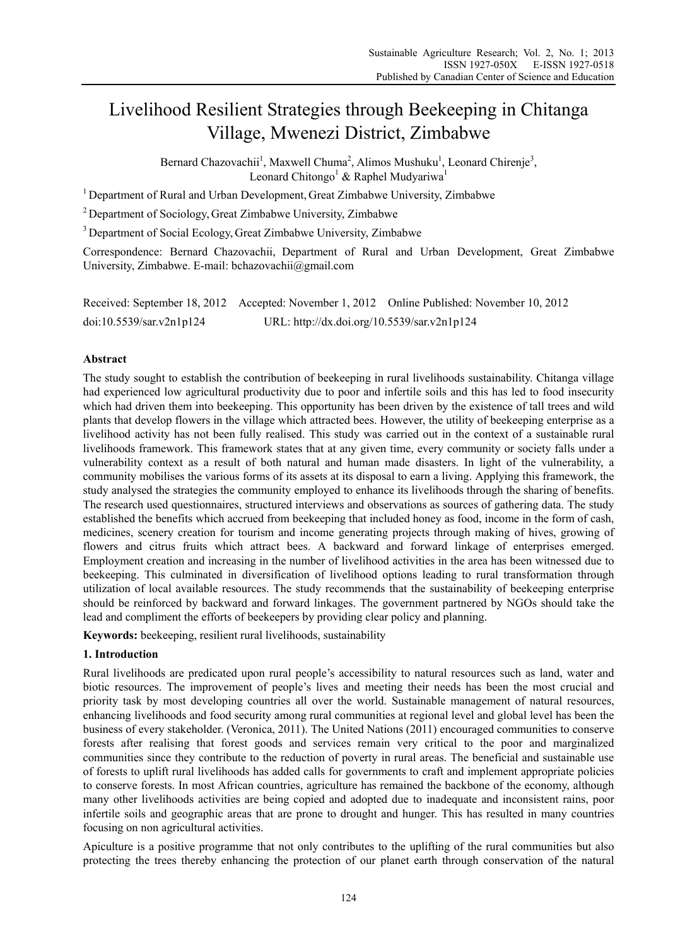# Livelihood Resilient Strategies through Beekeeping in Chitanga Village, Mwenezi District, Zimbabwe

Bernard Chazovachii<sup>1</sup>, Maxwell Chuma<sup>2</sup>, Alimos Mushuku<sup>1</sup>, Leonard Chirenje<sup>3</sup>, Leonard Chitongo<sup>1</sup> & Raphel Mudyariwa<sup>1</sup>

<sup>1</sup> Department of Rural and Urban Development, Great Zimbabwe University, Zimbabwe

2 Department of Sociology, Great Zimbabwe University, Zimbabwe

3 Department of Social Ecology, Great Zimbabwe University, Zimbabwe

Correspondence: Bernard Chazovachii, Department of Rural and Urban Development, Great Zimbabwe University, Zimbabwe. E-mail: bchazovachii@gmail.com

Received: September 18, 2012 Accepted: November 1, 2012 Online Published: November 10, 2012 doi:10.5539/sar.v2n1p124 URL: http://dx.doi.org/10.5539/sar.v2n1p124

# **Abstract**

The study sought to establish the contribution of beekeeping in rural livelihoods sustainability. Chitanga village had experienced low agricultural productivity due to poor and infertile soils and this has led to food insecurity which had driven them into beekeeping. This opportunity has been driven by the existence of tall trees and wild plants that develop flowers in the village which attracted bees. However, the utility of beekeeping enterprise as a livelihood activity has not been fully realised. This study was carried out in the context of a sustainable rural livelihoods framework. This framework states that at any given time, every community or society falls under a vulnerability context as a result of both natural and human made disasters. In light of the vulnerability, a community mobilises the various forms of its assets at its disposal to earn a living. Applying this framework, the study analysed the strategies the community employed to enhance its livelihoods through the sharing of benefits. The research used questionnaires, structured interviews and observations as sources of gathering data. The study established the benefits which accrued from beekeeping that included honey as food, income in the form of cash, medicines, scenery creation for tourism and income generating projects through making of hives, growing of flowers and citrus fruits which attract bees. A backward and forward linkage of enterprises emerged. Employment creation and increasing in the number of livelihood activities in the area has been witnessed due to beekeeping. This culminated in diversification of livelihood options leading to rural transformation through utilization of local available resources. The study recommends that the sustainability of beekeeping enterprise should be reinforced by backward and forward linkages. The government partnered by NGOs should take the lead and compliment the efforts of beekeepers by providing clear policy and planning.

**Keywords:** beekeeping, resilient rural livelihoods, sustainability

# **1. Introduction**

Rural livelihoods are predicated upon rural people's accessibility to natural resources such as land, water and biotic resources. The improvement of people's lives and meeting their needs has been the most crucial and priority task by most developing countries all over the world. Sustainable management of natural resources, enhancing livelihoods and food security among rural communities at regional level and global level has been the business of every stakeholder. (Veronica, 2011). The United Nations (2011) encouraged communities to conserve forests after realising that forest goods and services remain very critical to the poor and marginalized communities since they contribute to the reduction of poverty in rural areas. The beneficial and sustainable use of forests to uplift rural livelihoods has added calls for governments to craft and implement appropriate policies to conserve forests. In most African countries, agriculture has remained the backbone of the economy, although many other livelihoods activities are being copied and adopted due to inadequate and inconsistent rains, poor infertile soils and geographic areas that are prone to drought and hunger. This has resulted in many countries focusing on non agricultural activities.

Apiculture is a positive programme that not only contributes to the uplifting of the rural communities but also protecting the trees thereby enhancing the protection of our planet earth through conservation of the natural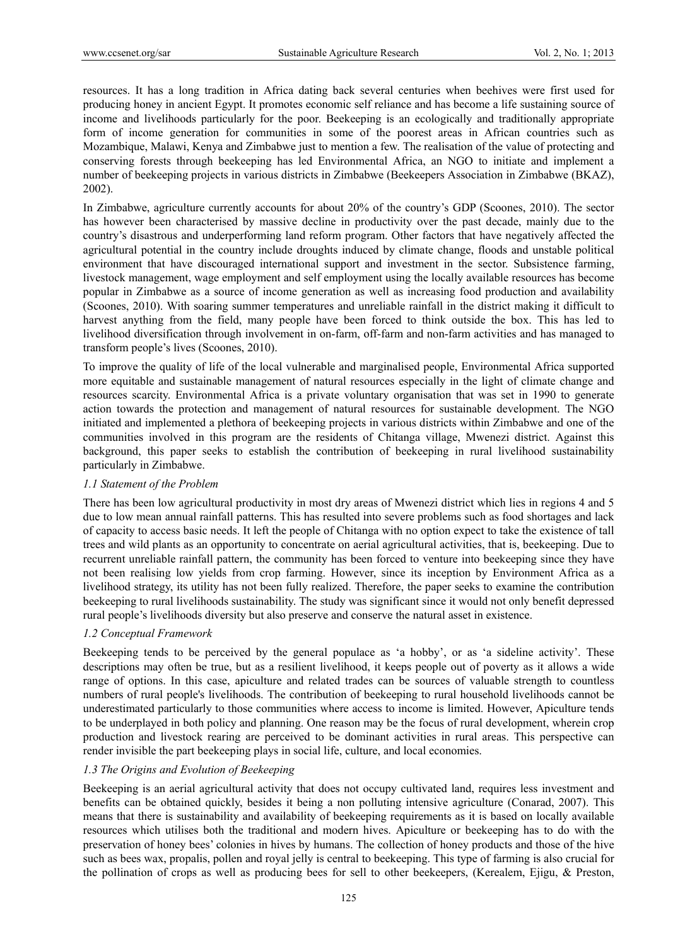resources. It has a long tradition in Africa dating back several centuries when beehives were first used for producing honey in ancient Egypt. It promotes economic self reliance and has become a life sustaining source of income and livelihoods particularly for the poor. Beekeeping is an ecologically and traditionally appropriate form of income generation for communities in some of the poorest areas in African countries such as Mozambique, Malawi, Kenya and Zimbabwe just to mention a few. The realisation of the value of protecting and conserving forests through beekeeping has led Environmental Africa, an NGO to initiate and implement a number of beekeeping projects in various districts in Zimbabwe (Beekeepers Association in Zimbabwe (BKAZ), 2002).

In Zimbabwe, agriculture currently accounts for about 20% of the country's GDP (Scoones, 2010). The sector has however been characterised by massive decline in productivity over the past decade, mainly due to the country's disastrous and underperforming land reform program. Other factors that have negatively affected the agricultural potential in the country include droughts induced by climate change, floods and unstable political environment that have discouraged international support and investment in the sector. Subsistence farming, livestock management, wage employment and self employment using the locally available resources has become popular in Zimbabwe as a source of income generation as well as increasing food production and availability (Scoones, 2010). With soaring summer temperatures and unreliable rainfall in the district making it difficult to harvest anything from the field, many people have been forced to think outside the box. This has led to livelihood diversification through involvement in on-farm, off-farm and non-farm activities and has managed to transform people's lives (Scoones, 2010).

To improve the quality of life of the local vulnerable and marginalised people, Environmental Africa supported more equitable and sustainable management of natural resources especially in the light of climate change and resources scarcity. Environmental Africa is a private voluntary organisation that was set in 1990 to generate action towards the protection and management of natural resources for sustainable development. The NGO initiated and implemented a plethora of beekeeping projects in various districts within Zimbabwe and one of the communities involved in this program are the residents of Chitanga village, Mwenezi district. Against this background, this paper seeks to establish the contribution of beekeeping in rural livelihood sustainability particularly in Zimbabwe.

# *1.1 Statement of the Problem*

There has been low agricultural productivity in most dry areas of Mwenezi district which lies in regions 4 and 5 due to low mean annual rainfall patterns. This has resulted into severe problems such as food shortages and lack of capacity to access basic needs. It left the people of Chitanga with no option expect to take the existence of tall trees and wild plants as an opportunity to concentrate on aerial agricultural activities, that is, beekeeping. Due to recurrent unreliable rainfall pattern, the community has been forced to venture into beekeeping since they have not been realising low yields from crop farming. However, since its inception by Environment Africa as a livelihood strategy, its utility has not been fully realized. Therefore, the paper seeks to examine the contribution beekeeping to rural livelihoods sustainability. The study was significant since it would not only benefit depressed rural people's livelihoods diversity but also preserve and conserve the natural asset in existence.

# *1.2 Conceptual Framework*

Beekeeping tends to be perceived by the general populace as 'a hobby', or as 'a sideline activity'. These descriptions may often be true, but as a resilient livelihood, it keeps people out of poverty as it allows a wide range of options. In this case, apiculture and related trades can be sources of valuable strength to countless numbers of rural people's livelihoods. The contribution of beekeeping to rural household livelihoods cannot be underestimated particularly to those communities where access to income is limited. However, Apiculture tends to be underplayed in both policy and planning. One reason may be the focus of rural development, wherein crop production and livestock rearing are perceived to be dominant activities in rural areas. This perspective can render invisible the part beekeeping plays in social life, culture, and local economies.

# *1.3 The Origins and Evolution of Beekeeping*

Beekeeping is an aerial agricultural activity that does not occupy cultivated land, requires less investment and benefits can be obtained quickly, besides it being a non polluting intensive agriculture (Conarad, 2007). This means that there is sustainability and availability of beekeeping requirements as it is based on locally available resources which utilises both the traditional and modern hives. Apiculture or beekeeping has to do with the preservation of honey bees' colonies in hives by humans. The collection of honey products and those of the hive such as bees wax, propalis, pollen and royal jelly is central to beekeeping. This type of farming is also crucial for the pollination of crops as well as producing bees for sell to other beekeepers, (Kerealem, Ejigu, & Preston,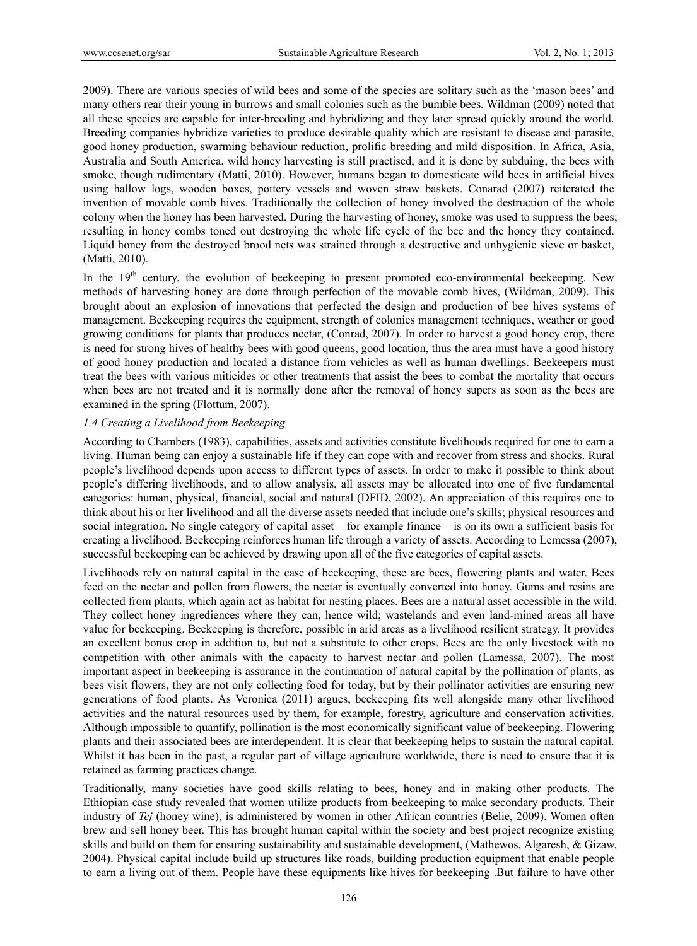2009). There are various species of wild bees and some of the species are solitary such as the 'mason bees' and many others rear their young in burrows and small colonies such as the bumble bees. Wildman (2009) noted that all these species are capable for inter-breeding and hybridizing and they later spread quickly around the world. Breeding companies hybridize varieties to produce desirable quality which are resistant to disease and parasite, good honey production, swarming behaviour reduction, prolific breeding and mild disposition. In Africa, Asia, Australia and South America, wild honey harvesting is still practised, and it is done by subduing, the bees with smoke, though rudimentary (Matti, 2010). However, humans began to domesticate wild bees in artificial hives using hallow logs, wooden boxes, pottery vessels and woven straw baskets. Conarad (2007) reiterated the invention of movable comb hives. Traditionally the collection of honey involved the destruction of the whole colony when the honey has been harvested. During the harvesting of honey, smoke was used to suppress the bees; resulting in honey combs toned out destroying the whole life cycle of the bee and the honey they contained. Liquid honey from the destroyed brood nets was strained through a destructive and unhygienic sieve or basket, (Matti, 2010).

In the 19<sup>th</sup> century, the evolution of beekeeping to present promoted eco-environmental beekeeping. New methods of harvesting honey are done through perfection of the movable comb hives, (Wildman, 2009). This brought about an explosion of innovations that perfected the design and production of bee hives systems of management. Beekeeping requires the equipment, strength of colonies management techniques, weather or good growing conditions for plants that produces nectar, (Conrad, 2007). In order to harvest a good honey crop, there is need for strong hives of healthy bees with good queens, good location, thus the area must have a good history of good honey production and located a distance from vehicles as well as human dwellings. Beekeepers must treat the bees with various miticides or other treatments that assist the bees to combat the mortality that occurs when bees are not treated and it is normally done after the removal of honey supers as soon as the bees are examined in the spring (Flottum, 2007).

# *1.4 Creating a Livelihood from Beekeeping*

According to Chambers (1983), capabilities, assets and activities constitute livelihoods required for one to earn a living. Human being can enjoy a sustainable life if they can cope with and recover from stress and shocks. Rural people's livelihood depends upon access to different types of assets. In order to make it possible to think about people's differing livelihoods, and to allow analysis, all assets may be allocated into one of five fundamental categories: human, physical, financial, social and natural (DFID, 2002). An appreciation of this requires one to think about his or her livelihood and all the diverse assets needed that include one's skills; physical resources and social integration. No single category of capital asset – for example finance – is on its own a sufficient basis for creating a livelihood. Beekeeping reinforces human life through a variety of assets. According to Lemessa (2007), successful beekeeping can be achieved by drawing upon all of the five categories of capital assets.

Livelihoods rely on natural capital in the case of beekeeping, these are bees, flowering plants and water. Bees feed on the nectar and pollen from flowers, the nectar is eventually converted into honey. Gums and resins are collected from plants, which again act as habitat for nesting places. Bees are a natural asset accessible in the wild. They collect honey ingrediences where they can, hence wild; wastelands and even land-mined areas all have value for beekeeping. Beekeeping is therefore, possible in arid areas as a livelihood resilient strategy. It provides an excellent bonus crop in addition to, but not a substitute to other crops. Bees are the only livestock with no competition with other animals with the capacity to harvest nectar and pollen (Lamessa, 2007). The most important aspect in beekeeping is assurance in the continuation of natural capital by the pollination of plants, as bees visit flowers, they are not only collecting food for today, but by their pollinator activities are ensuring new generations of food plants. As Veronica (2011) argues, beekeeping fits well alongside many other livelihood activities and the natural resources used by them, for example, forestry, agriculture and conservation activities. Although impossible to quantify, pollination is the most economically significant value of beekeeping. Flowering plants and their associated bees are interdependent. It is clear that beekeeping helps to sustain the natural capital. Whilst it has been in the past, a regular part of village agriculture worldwide, there is need to ensure that it is retained as farming practices change.

Traditionally, many societies have good skills relating to bees, honey and in making other products. The Ethiopian case study revealed that women utilize products from beekeeping to make secondary products. Their industry of *Tej* (honey wine), is administered by women in other African countries (Belie, 2009). Women often brew and sell honey beer. This has brought human capital within the society and best project recognize existing skills and build on them for ensuring sustainability and sustainable development, (Mathewos, Algaresh, & Gizaw, 2004). Physical capital include build up structures like roads, building production equipment that enable people to earn a living out of them. People have these equipments like hives for beekeeping .But failure to have other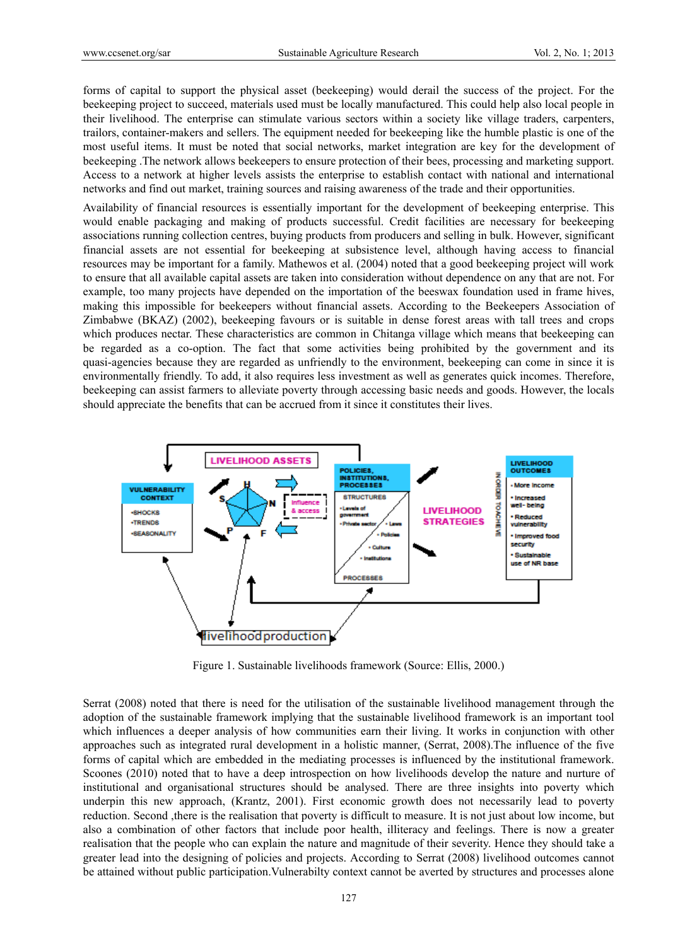forms of capital to support the physical asset (beekeeping) would derail the success of the project. For the beekeeping project to succeed, materials used must be locally manufactured. This could help also local people in their livelihood. The enterprise can stimulate various sectors within a society like village traders, carpenters, trailors, container-makers and sellers. The equipment needed for beekeeping like the humble plastic is one of the most useful items. It must be noted that social networks, market integration are key for the development of beekeeping .The network allows beekeepers to ensure protection of their bees, processing and marketing support. Access to a network at higher levels assists the enterprise to establish contact with national and international networks and find out market, training sources and raising awareness of the trade and their opportunities.

Availability of financial resources is essentially important for the development of beekeeping enterprise. This would enable packaging and making of products successful. Credit facilities are necessary for beekeeping associations running collection centres, buying products from producers and selling in bulk. However, significant financial assets are not essential for beekeeping at subsistence level, although having access to financial resources may be important for a family. Mathewos et al. (2004) noted that a good beekeeping project will work to ensure that all available capital assets are taken into consideration without dependence on any that are not. For example, too many projects have depended on the importation of the beeswax foundation used in frame hives, making this impossible for beekeepers without financial assets. According to the Beekeepers Association of Zimbabwe (BKAZ) (2002), beekeeping favours or is suitable in dense forest areas with tall trees and crops which produces nectar. These characteristics are common in Chitanga village which means that beekeeping can be regarded as a co-option. The fact that some activities being prohibited by the government and its quasi-agencies because they are regarded as unfriendly to the environment, beekeeping can come in since it is environmentally friendly. To add, it also requires less investment as well as generates quick incomes. Therefore, beekeeping can assist farmers to alleviate poverty through accessing basic needs and goods. However, the locals should appreciate the benefits that can be accrued from it since it constitutes their lives.



Figure 1. Sustainable livelihoods framework (Source: Ellis, 2000.)

Serrat (2008) noted that there is need for the utilisation of the sustainable livelihood management through the adoption of the sustainable framework implying that the sustainable livelihood framework is an important tool which influences a deeper analysis of how communities earn their living. It works in conjunction with other approaches such as integrated rural development in a holistic manner, (Serrat, 2008).The influence of the five forms of capital which are embedded in the mediating processes is influenced by the institutional framework. Scoones (2010) noted that to have a deep introspection on how livelihoods develop the nature and nurture of institutional and organisational structures should be analysed. There are three insights into poverty which underpin this new approach, (Krantz, 2001). First economic growth does not necessarily lead to poverty reduction. Second ,there is the realisation that poverty is difficult to measure. It is not just about low income, but also a combination of other factors that include poor health, illiteracy and feelings. There is now a greater realisation that the people who can explain the nature and magnitude of their severity. Hence they should take a greater lead into the designing of policies and projects. According to Serrat (2008) livelihood outcomes cannot be attained without public participation.Vulnerabilty context cannot be averted by structures and processes alone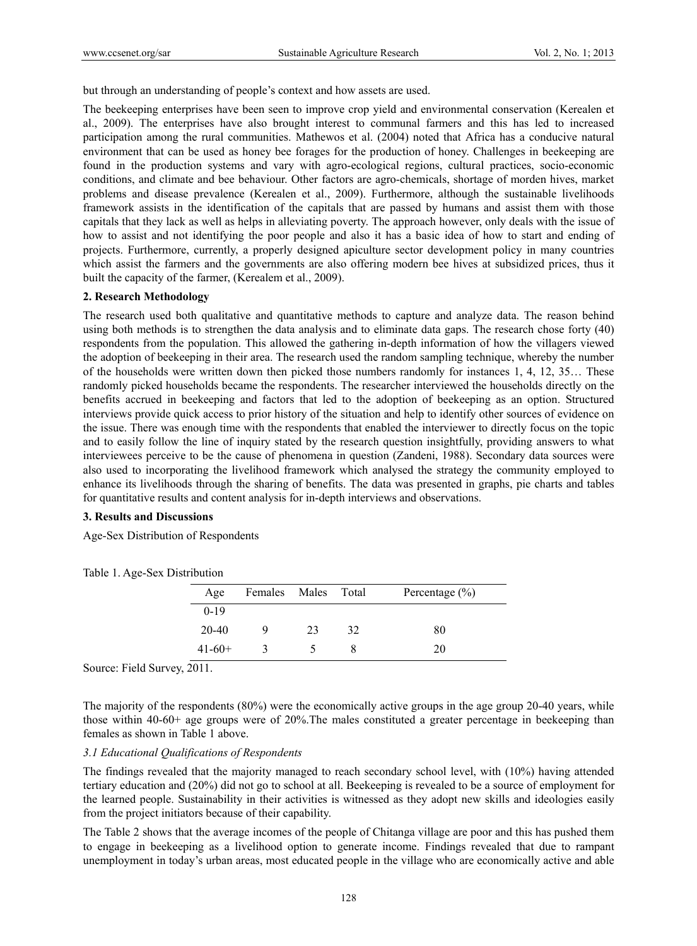but through an understanding of people's context and how assets are used.

The beekeeping enterprises have been seen to improve crop yield and environmental conservation (Kerealen et al., 2009). The enterprises have also brought interest to communal farmers and this has led to increased participation among the rural communities. Mathewos et al. (2004) noted that Africa has a conducive natural environment that can be used as honey bee forages for the production of honey. Challenges in beekeeping are found in the production systems and vary with agro-ecological regions, cultural practices, socio-economic conditions, and climate and bee behaviour. Other factors are agro-chemicals, shortage of morden hives, market problems and disease prevalence (Kerealen et al., 2009). Furthermore, although the sustainable livelihoods framework assists in the identification of the capitals that are passed by humans and assist them with those capitals that they lack as well as helps in alleviating poverty. The approach however, only deals with the issue of how to assist and not identifying the poor people and also it has a basic idea of how to start and ending of projects. Furthermore, currently, a properly designed apiculture sector development policy in many countries which assist the farmers and the governments are also offering modern bee hives at subsidized prices, thus it built the capacity of the farmer, (Kerealem et al., 2009).

#### **2. Research Methodology**

The research used both qualitative and quantitative methods to capture and analyze data. The reason behind using both methods is to strengthen the data analysis and to eliminate data gaps. The research chose forty (40) respondents from the population. This allowed the gathering in-depth information of how the villagers viewed the adoption of beekeeping in their area. The research used the random sampling technique, whereby the number of the households were written down then picked those numbers randomly for instances 1, 4, 12, 35… These randomly picked households became the respondents. The researcher interviewed the households directly on the benefits accrued in beekeeping and factors that led to the adoption of beekeeping as an option. Structured interviews provide quick access to prior history of the situation and help to identify other sources of evidence on the issue. There was enough time with the respondents that enabled the interviewer to directly focus on the topic and to easily follow the line of inquiry stated by the research question insightfully, providing answers to what interviewees perceive to be the cause of phenomena in question (Zandeni, 1988). Secondary data sources were also used to incorporating the livelihood framework which analysed the strategy the community employed to enhance its livelihoods through the sharing of benefits. The data was presented in graphs, pie charts and tables for quantitative results and content analysis for in-depth interviews and observations.

#### **3. Results and Discussions**

Age-Sex Distribution of Respondents

| Age      | Females Males Total |    |    | Percentage $(\% )$ |
|----------|---------------------|----|----|--------------------|
| $0 - 19$ |                     |    |    |                    |
| $20-40$  |                     | 23 | 32 | 80                 |
| $41-60+$ |                     |    |    | 20                 |

Table 1. Age-Sex Distribution

Source: Field Survey, 2011.

The majority of the respondents (80%) were the economically active groups in the age group 20-40 years, while those within 40-60+ age groups were of 20%.The males constituted a greater percentage in beekeeping than females as shown in Table 1 above.

### *3.1 Educational Qualifications of Respondents*

The findings revealed that the majority managed to reach secondary school level, with (10%) having attended tertiary education and (20%) did not go to school at all. Beekeeping is revealed to be a source of employment for the learned people. Sustainability in their activities is witnessed as they adopt new skills and ideologies easily from the project initiators because of their capability.

The Table 2 shows that the average incomes of the people of Chitanga village are poor and this has pushed them to engage in beekeeping as a livelihood option to generate income. Findings revealed that due to rampant unemployment in today's urban areas, most educated people in the village who are economically active and able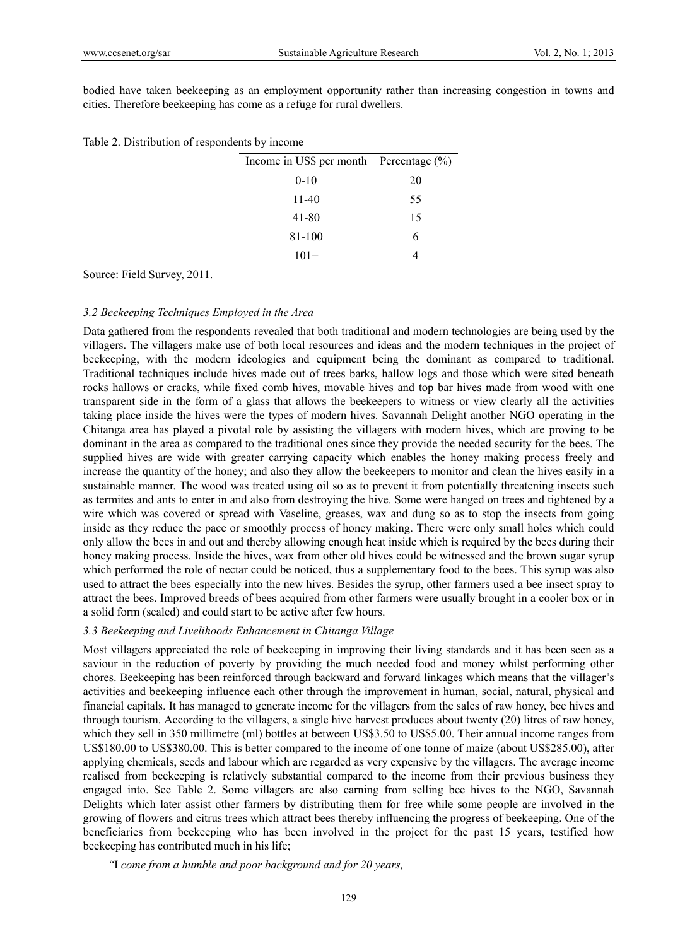bodied have taken beekeeping as an employment opportunity rather than increasing congestion in towns and cities. Therefore beekeeping has come as a refuge for rural dwellers.

| Table 2. Distribution of respondents by income |  |
|------------------------------------------------|--|
|------------------------------------------------|--|

| Income in US\$ per month Percentage $(\% )$ |    |
|---------------------------------------------|----|
| $0 - 10$                                    | 20 |
| $11-40$                                     | 55 |
| $41 - 80$                                   | 15 |
| 81-100                                      | 6  |
| $101+$                                      |    |

Source: Field Survey, 2011.

# *3.2 Beekeeping Techniques Employed in the Area*

Data gathered from the respondents revealed that both traditional and modern technologies are being used by the villagers. The villagers make use of both local resources and ideas and the modern techniques in the project of beekeeping, with the modern ideologies and equipment being the dominant as compared to traditional. Traditional techniques include hives made out of trees barks, hallow logs and those which were sited beneath rocks hallows or cracks, while fixed comb hives, movable hives and top bar hives made from wood with one transparent side in the form of a glass that allows the beekeepers to witness or view clearly all the activities taking place inside the hives were the types of modern hives. Savannah Delight another NGO operating in the Chitanga area has played a pivotal role by assisting the villagers with modern hives, which are proving to be dominant in the area as compared to the traditional ones since they provide the needed security for the bees. The supplied hives are wide with greater carrying capacity which enables the honey making process freely and increase the quantity of the honey; and also they allow the beekeepers to monitor and clean the hives easily in a sustainable manner. The wood was treated using oil so as to prevent it from potentially threatening insects such as termites and ants to enter in and also from destroying the hive. Some were hanged on trees and tightened by a wire which was covered or spread with Vaseline, greases, wax and dung so as to stop the insects from going inside as they reduce the pace or smoothly process of honey making. There were only small holes which could only allow the bees in and out and thereby allowing enough heat inside which is required by the bees during their honey making process. Inside the hives, wax from other old hives could be witnessed and the brown sugar syrup which performed the role of nectar could be noticed, thus a supplementary food to the bees. This syrup was also used to attract the bees especially into the new hives. Besides the syrup, other farmers used a bee insect spray to attract the bees. Improved breeds of bees acquired from other farmers were usually brought in a cooler box or in a solid form (sealed) and could start to be active after few hours.

# *3.3 Beekeeping and Livelihoods Enhancement in Chitanga Village*

Most villagers appreciated the role of beekeeping in improving their living standards and it has been seen as a saviour in the reduction of poverty by providing the much needed food and money whilst performing other chores. Beekeeping has been reinforced through backward and forward linkages which means that the villager's activities and beekeeping influence each other through the improvement in human, social, natural, physical and financial capitals. It has managed to generate income for the villagers from the sales of raw honey, bee hives and through tourism. According to the villagers, a single hive harvest produces about twenty (20) litres of raw honey, which they sell in 350 millimetre (ml) bottles at between US\$3.50 to US\$5.00. Their annual income ranges from US\$180.00 to US\$380.00. This is better compared to the income of one tonne of maize (about US\$285.00), after applying chemicals, seeds and labour which are regarded as very expensive by the villagers. The average income realised from beekeeping is relatively substantial compared to the income from their previous business they engaged into. See Table 2. Some villagers are also earning from selling bee hives to the NGO, Savannah Delights which later assist other farmers by distributing them for free while some people are involved in the growing of flowers and citrus trees which attract bees thereby influencing the progress of beekeeping. One of the beneficiaries from beekeeping who has been involved in the project for the past 15 years, testified how beekeeping has contributed much in his life;

*"*I *come from a humble and poor background and for 20 years,*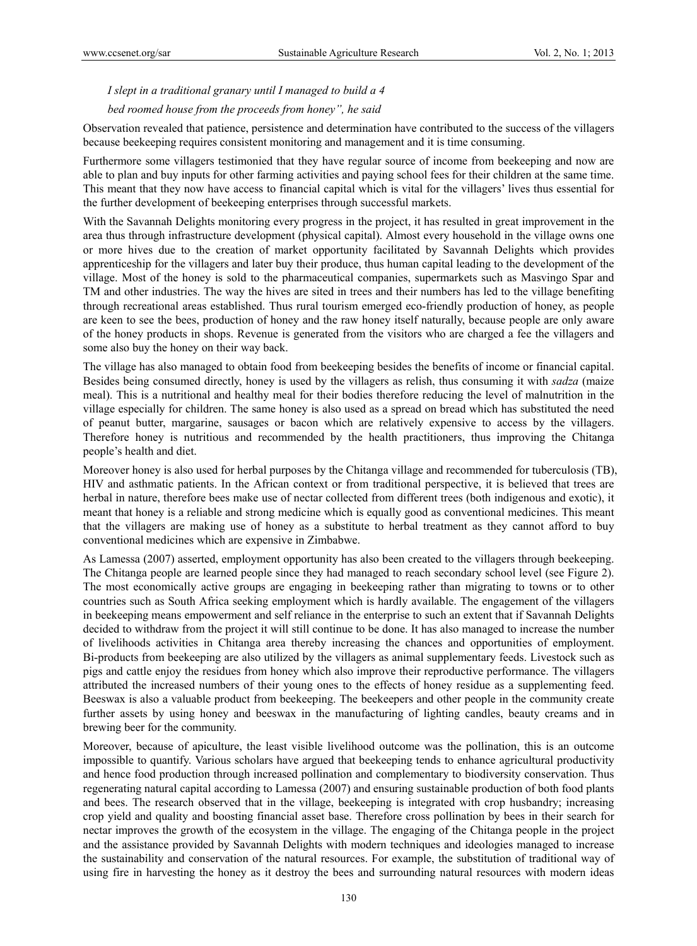# *I slept in a traditional granary until I managed to build a 4 bed roomed house from the proceeds from honey", he said*

Observation revealed that patience, persistence and determination have contributed to the success of the villagers because beekeeping requires consistent monitoring and management and it is time consuming.

Furthermore some villagers testimonied that they have regular source of income from beekeeping and now are able to plan and buy inputs for other farming activities and paying school fees for their children at the same time. This meant that they now have access to financial capital which is vital for the villagers' lives thus essential for the further development of beekeeping enterprises through successful markets.

With the Savannah Delights monitoring every progress in the project, it has resulted in great improvement in the area thus through infrastructure development (physical capital). Almost every household in the village owns one or more hives due to the creation of market opportunity facilitated by Savannah Delights which provides apprenticeship for the villagers and later buy their produce, thus human capital leading to the development of the village. Most of the honey is sold to the pharmaceutical companies, supermarkets such as Masvingo Spar and TM and other industries. The way the hives are sited in trees and their numbers has led to the village benefiting through recreational areas established. Thus rural tourism emerged eco-friendly production of honey, as people are keen to see the bees, production of honey and the raw honey itself naturally, because people are only aware of the honey products in shops. Revenue is generated from the visitors who are charged a fee the villagers and some also buy the honey on their way back.

The village has also managed to obtain food from beekeeping besides the benefits of income or financial capital. Besides being consumed directly, honey is used by the villagers as relish, thus consuming it with *sadza* (maize meal). This is a nutritional and healthy meal for their bodies therefore reducing the level of malnutrition in the village especially for children. The same honey is also used as a spread on bread which has substituted the need of peanut butter, margarine, sausages or bacon which are relatively expensive to access by the villagers. Therefore honey is nutritious and recommended by the health practitioners, thus improving the Chitanga people's health and diet.

Moreover honey is also used for herbal purposes by the Chitanga village and recommended for tuberculosis (TB), HIV and asthmatic patients. In the African context or from traditional perspective, it is believed that trees are herbal in nature, therefore bees make use of nectar collected from different trees (both indigenous and exotic), it meant that honey is a reliable and strong medicine which is equally good as conventional medicines. This meant that the villagers are making use of honey as a substitute to herbal treatment as they cannot afford to buy conventional medicines which are expensive in Zimbabwe.

As Lamessa (2007) asserted, employment opportunity has also been created to the villagers through beekeeping. The Chitanga people are learned people since they had managed to reach secondary school level (see Figure 2). The most economically active groups are engaging in beekeeping rather than migrating to towns or to other countries such as South Africa seeking employment which is hardly available. The engagement of the villagers in beekeeping means empowerment and self reliance in the enterprise to such an extent that if Savannah Delights decided to withdraw from the project it will still continue to be done. It has also managed to increase the number of livelihoods activities in Chitanga area thereby increasing the chances and opportunities of employment. Bi-products from beekeeping are also utilized by the villagers as animal supplementary feeds. Livestock such as pigs and cattle enjoy the residues from honey which also improve their reproductive performance. The villagers attributed the increased numbers of their young ones to the effects of honey residue as a supplementing feed. Beeswax is also a valuable product from beekeeping. The beekeepers and other people in the community create further assets by using honey and beeswax in the manufacturing of lighting candles, beauty creams and in brewing beer for the community.

Moreover, because of apiculture, the least visible livelihood outcome was the pollination, this is an outcome impossible to quantify. Various scholars have argued that beekeeping tends to enhance agricultural productivity and hence food production through increased pollination and complementary to biodiversity conservation. Thus regenerating natural capital according to Lamessa (2007) and ensuring sustainable production of both food plants and bees. The research observed that in the village, beekeeping is integrated with crop husbandry; increasing crop yield and quality and boosting financial asset base. Therefore cross pollination by bees in their search for nectar improves the growth of the ecosystem in the village. The engaging of the Chitanga people in the project and the assistance provided by Savannah Delights with modern techniques and ideologies managed to increase the sustainability and conservation of the natural resources. For example, the substitution of traditional way of using fire in harvesting the honey as it destroy the bees and surrounding natural resources with modern ideas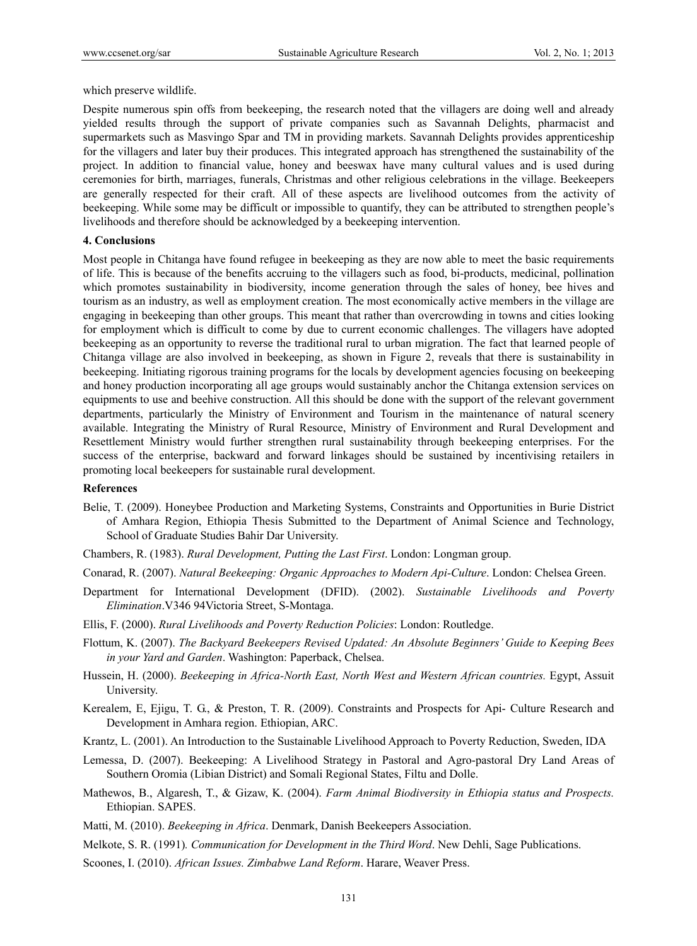which preserve wildlife.

Despite numerous spin offs from beekeeping, the research noted that the villagers are doing well and already yielded results through the support of private companies such as Savannah Delights, pharmacist and supermarkets such as Masvingo Spar and TM in providing markets. Savannah Delights provides apprenticeship for the villagers and later buy their produces. This integrated approach has strengthened the sustainability of the project. In addition to financial value, honey and beeswax have many cultural values and is used during ceremonies for birth, marriages, funerals, Christmas and other religious celebrations in the village. Beekeepers are generally respected for their craft. All of these aspects are livelihood outcomes from the activity of beekeeping. While some may be difficult or impossible to quantify, they can be attributed to strengthen people's livelihoods and therefore should be acknowledged by a beekeeping intervention.

# **4. Conclusions**

Most people in Chitanga have found refugee in beekeeping as they are now able to meet the basic requirements of life. This is because of the benefits accruing to the villagers such as food, bi-products, medicinal, pollination which promotes sustainability in biodiversity, income generation through the sales of honey, bee hives and tourism as an industry, as well as employment creation. The most economically active members in the village are engaging in beekeeping than other groups. This meant that rather than overcrowding in towns and cities looking for employment which is difficult to come by due to current economic challenges. The villagers have adopted beekeeping as an opportunity to reverse the traditional rural to urban migration. The fact that learned people of Chitanga village are also involved in beekeeping, as shown in Figure 2, reveals that there is sustainability in beekeeping. Initiating rigorous training programs for the locals by development agencies focusing on beekeeping and honey production incorporating all age groups would sustainably anchor the Chitanga extension services on equipments to use and beehive construction. All this should be done with the support of the relevant government departments, particularly the Ministry of Environment and Tourism in the maintenance of natural scenery available. Integrating the Ministry of Rural Resource, Ministry of Environment and Rural Development and Resettlement Ministry would further strengthen rural sustainability through beekeeping enterprises. For the success of the enterprise, backward and forward linkages should be sustained by incentivising retailers in promoting local beekeepers for sustainable rural development.

#### **References**

- Belie, T. (2009). Honeybee Production and Marketing Systems, Constraints and Opportunities in Burie District of Amhara Region, Ethiopia Thesis Submitted to the Department of Animal Science and Technology, School of Graduate Studies Bahir Dar University.
- Chambers, R. (1983). *Rural Development, Putting the Last First*. London: Longman group.
- Conarad, R. (2007). *Natural Beekeeping: Organic Approaches to Modern Api-Culture*. London: Chelsea Green.
- Department for International Development (DFID). (2002). *Sustainable Livelihoods and Poverty Elimination*.V346 94Victoria Street, S-Montaga.
- Ellis, F. (2000). *Rural Livelihoods and Poverty Reduction Policies*: London: Routledge.
- Flottum, K. (2007). *The Backyard Beekeepers Revised Updated: An Absolute Beginners' Guide to Keeping Bees in your Yard and Garden*. Washington: Paperback, Chelsea.
- Hussein, H. (2000). *Beekeeping in Africa-North East, North West and Western African countries.* Egypt, Assuit University.
- Kerealem, E, Ejigu, T. G., & Preston, T. R. (2009). Constraints and Prospects for Api- Culture Research and Development in Amhara region. Ethiopian, ARC.
- Krantz, L. (2001). An Introduction to the Sustainable Livelihood Approach to Poverty Reduction, Sweden, IDA
- Lemessa, D. (2007). Beekeeping: A Livelihood Strategy in Pastoral and Agro-pastoral Dry Land Areas of Southern Oromia (Libian District) and Somali Regional States, Filtu and Dolle.
- Mathewos, B., Algaresh, T., & Gizaw, K. (2004). *Farm Animal Biodiversity in Ethiopia status and Prospects.*  Ethiopian. SAPES.
- Matti, M. (2010). *Beekeeping in Africa*. Denmark, Danish Beekeepers Association.
- Melkote, S. R. (1991)*. Communication for Development in the Third Word*. New Dehli, Sage Publications.
- Scoones, I. (2010). *African Issues. Zimbabwe Land Reform*. Harare, Weaver Press.